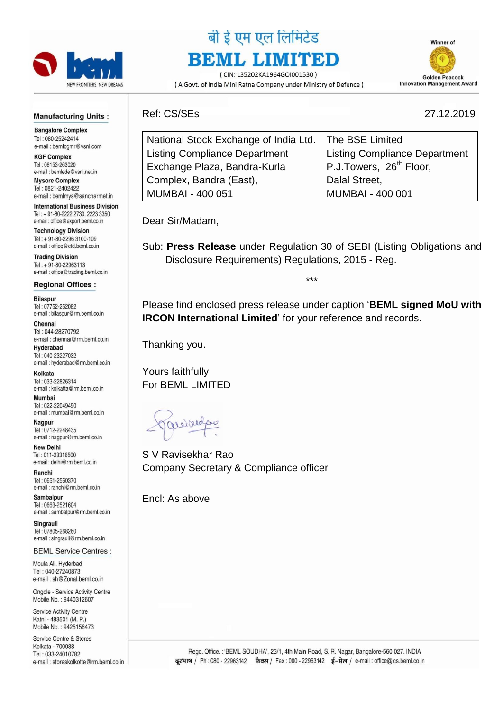

# बी ई एम एल लिमिटेड **BEML LIMITED**

(CIN: L35202KA1964GOI001530) (A Govt. of India Mini Ratna Company under Ministry of Defence)



#### **Manufacturing Units:**

**Bangalore Complex** Tel: 080-25242414 e-mail: bemlcgmr@vsnl.com

**KGF Complex** Tel: 08153-263020 e-mail: bemlede@vsnl.net.in

**Mysore Complex** Tel: 0821-2402422 e-mail: bemlmys@sancharmet.in

**International Business Division** Tel: + 91-80-2222 2730, 2223 3350 e-mail: office@export.beml.co.in

**Technology Division** Tel: + 91-80-2296 3100-109 e-mail: office@ctd.beml.co.in

**Trading Division** Tel: +91-80-22963113 e-mail: office@trading.beml.co.in

#### **Regional Offices:**

**Bilaspur** Tel: 07752-252082 e-mail : bilaspur@rm.beml.co.in

Chennai Tel: 044-28270792 e-mail: chennai@rm.beml.co.in

Hyderabad Tel: 040-23227032 e-mail : hyderabad@rm.beml.co.in

Kolkata Tel: 033-22826314 e-mail: kolkatta@rm.beml.co.in

Mumbai Tel: 022-22049490 e-mail: mumbai@rm.beml.co.in

Nagpur Tel: 0712-2248435 e-mail: nagpur@rm.beml.co.in

**New Delhi** Tel: 011-23316500 e-mail: delhi@rm.beml.co.in

Ranchi Tel: 0651-2560370 e-mail : ranchi@rm.beml.co.in

Sambalpur Tel: 0663-2521604 e-mail: sambalpur@rm.beml.co.in

Singrauli Tel: 07805-268260 e-mail: singrauli@rm.beml.co.in

**BEML Service Centres:** 

Moula Ali, Hyderbad Tel: 040-27240873 e-mail: sh@Zonal.beml.co.in

Ongole - Service Activity Centre Mobile No.: 9440312607

**Service Activity Centre** Katni - 483501 (M. P.) Mobile No.: 9425156473

Service Centre & Stores Kolkata - 700088 Tel: 033-24010782 e-mail: storeskolkotte@rm.beml.co.in Ref: CS/SEs 27.12.2019

| 27.12.2019 |  |
|------------|--|
|------------|--|

| National Stock Exchange of India Ltd.   The BSE Limited |                                      |
|---------------------------------------------------------|--------------------------------------|
| <b>Listing Compliance Department</b>                    | <b>Listing Compliance Department</b> |
| Exchange Plaza, Bandra-Kurla                            | P.J.Towers, 26 <sup>th</sup> Floor,  |
| Complex, Bandra (East),                                 | Dalal Street,                        |
| MUMBAI - 400 051                                        | MUMBAI - 400 001                     |

Dear Sir/Madam,

Sub: **Press Release** under Regulation 30 of SEBI (Listing Obligations and Disclosure Requirements) Regulations, 2015 - Reg.

\*\*\*

Please find enclosed press release under caption '**BEML signed MoU with IRCON International Limited**' for your reference and records.

Thanking you.

Yours faithfully For BEML LIMITED

aceibred

S V Ravisekhar Rao Company Secretary & Compliance officer

Encl: As above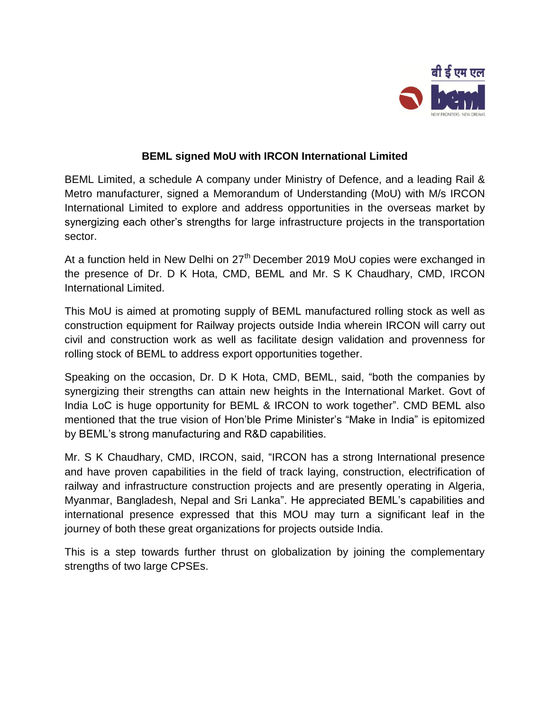

## **BEML signed MoU with IRCON International Limited**

BEML Limited, a schedule A company under Ministry of Defence, and a leading Rail & Metro manufacturer, signed a Memorandum of Understanding (MoU) with M/s IRCON International Limited to explore and address opportunities in the overseas market by synergizing each other's strengths for large infrastructure projects in the transportation sector.

At a function held in New Delhi on 27<sup>th</sup> December 2019 MoU copies were exchanged in the presence of Dr. D K Hota, CMD, BEML and Mr. S K Chaudhary, CMD, IRCON International Limited.

This MoU is aimed at promoting supply of BEML manufactured rolling stock as well as construction equipment for Railway projects outside India wherein IRCON will carry out civil and construction work as well as facilitate design validation and provenness for rolling stock of BEML to address export opportunities together.

Speaking on the occasion, Dr. D K Hota, CMD, BEML, said, "both the companies by synergizing their strengths can attain new heights in the International Market. Govt of India LoC is huge opportunity for BEML & IRCON to work together". CMD BEML also mentioned that the true vision of Hon'ble Prime Minister's "Make in India" is epitomized by BEML's strong manufacturing and R&D capabilities.

Mr. S K Chaudhary, CMD, IRCON, said, "IRCON has a strong International presence and have proven capabilities in the field of track laying, construction, electrification of railway and infrastructure construction projects and are presently operating in Algeria, Myanmar, Bangladesh, Nepal and Sri Lanka". He appreciated BEML's capabilities and international presence expressed that this MOU may turn a significant leaf in the journey of both these great organizations for projects outside India.

This is a step towards further thrust on globalization by joining the complementary strengths of two large CPSEs.